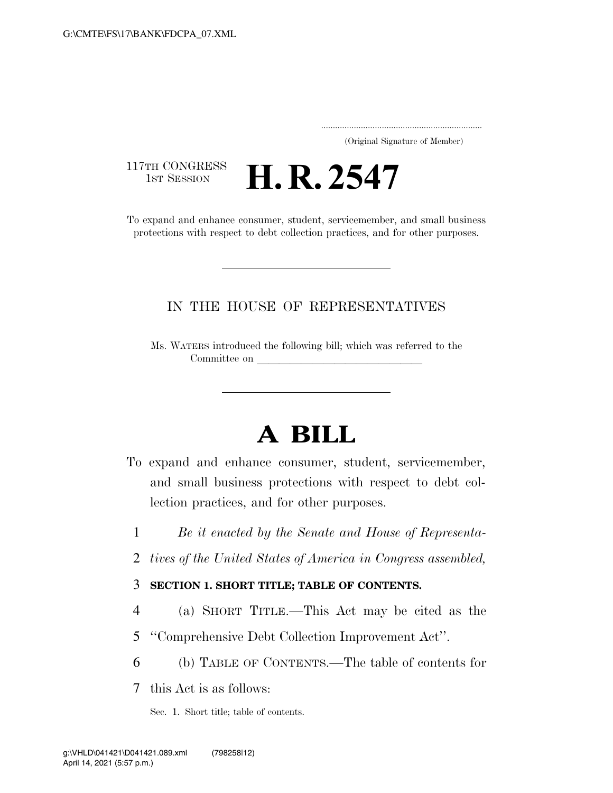..................................................................... (Original Signature of Member)

117TH CONGRESS<br>1st Session

**H. R. 2547** 

To expand and enhance consumer, student, servicemember, and small business protections with respect to debt collection practices, and for other purposes.

### IN THE HOUSE OF REPRESENTATIVES

Ms. WATERS introduced the following bill; which was referred to the Committee on

# **A BILL**

- To expand and enhance consumer, student, servicemember, and small business protections with respect to debt collection practices, and for other purposes.
	- 1 *Be it enacted by the Senate and House of Representa-*
	- 2 *tives of the United States of America in Congress assembled,*

### 3 **SECTION 1. SHORT TITLE; TABLE OF CONTENTS.**

- 4 (a) SHORT TITLE.—This Act may be cited as the
- 5 ''Comprehensive Debt Collection Improvement Act''.
- 6 (b) TABLE OF CONTENTS.—The table of contents for

7 this Act is as follows:

Sec. 1. Short title; table of contents.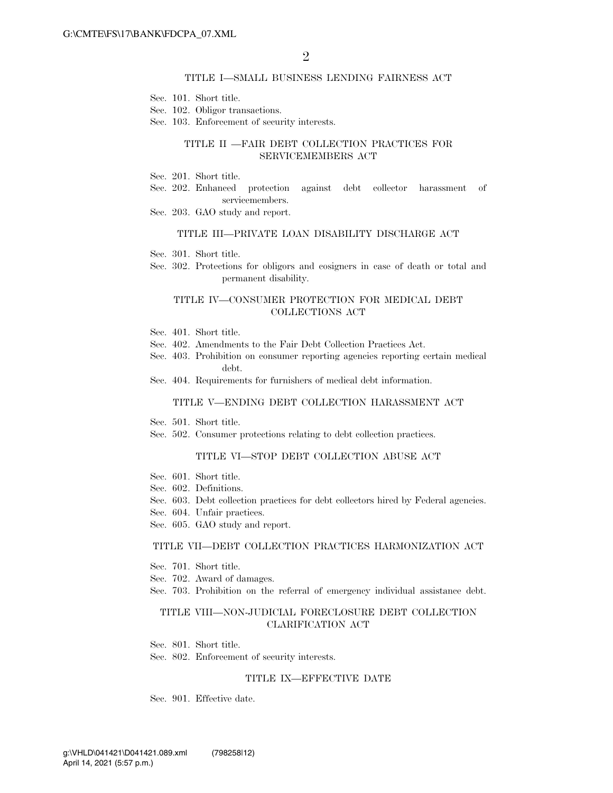#### TITLE I—SMALL BUSINESS LENDING FAIRNESS ACT

- Sec. 101. Short title.
- Sec. 102. Obligor transactions.
- Sec. 103. Enforcement of security interests.

### TITLE II —FAIR DEBT COLLECTION PRACTICES FOR SERVICEMEMBERS ACT

- Sec. 201. Short title.
- Sec. 202. Enhanced protection against debt collector harassment of servicemembers.
- Sec. 203. GAO study and report.

#### TITLE III—PRIVATE LOAN DISABILITY DISCHARGE ACT

- Sec. 301. Short title.
- Sec. 302. Protections for obligors and cosigners in case of death or total and permanent disability.

#### TITLE IV—CONSUMER PROTECTION FOR MEDICAL DEBT COLLECTIONS ACT

- Sec. 401. Short title.
- Sec. 402. Amendments to the Fair Debt Collection Practices Act.
- Sec. 403. Prohibition on consumer reporting agencies reporting certain medical debt.
- Sec. 404. Requirements for furnishers of medical debt information.

#### TITLE V—ENDING DEBT COLLECTION HARASSMENT ACT

- Sec. 501. Short title.
- Sec. 502. Consumer protections relating to debt collection practices.

#### TITLE VI—STOP DEBT COLLECTION ABUSE ACT

- Sec. 601. Short title.
- Sec. 602. Definitions.
- Sec. 603. Debt collection practices for debt collectors hired by Federal agencies.
- Sec. 604. Unfair practices.
- Sec. 605. GAO study and report.

#### TITLE VII—DEBT COLLECTION PRACTICES HARMONIZATION ACT

- Sec. 701. Short title.
- Sec. 702. Award of damages.
- Sec. 703. Prohibition on the referral of emergency individual assistance debt.

#### TITLE VIII—NON-JUDICIAL FORECLOSURE DEBT COLLECTION CLARIFICATION ACT

Sec. 801. Short title. Sec. 802. Enforcement of security interests.

#### TITLE IX—EFFECTIVE DATE

Sec. 901. Effective date.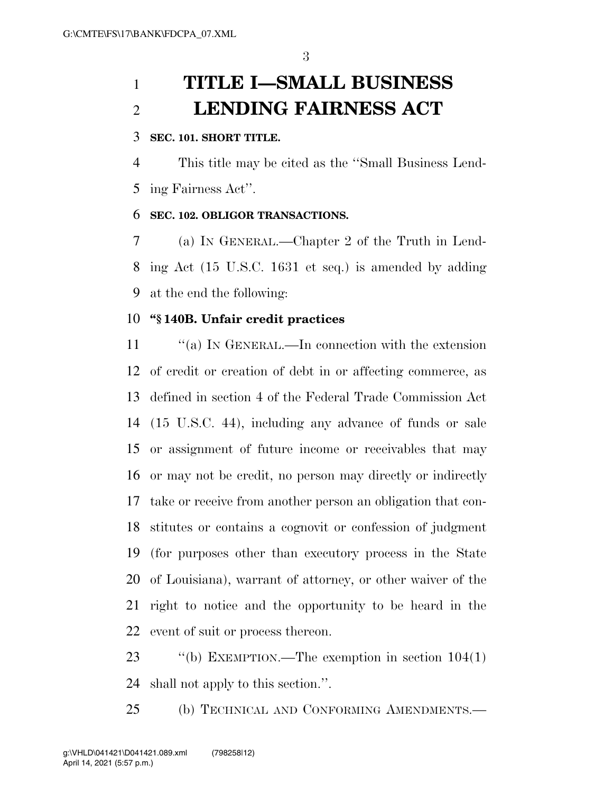## **TITLE I—SMALL BUSINESS LENDING FAIRNESS ACT**

### **SEC. 101. SHORT TITLE.**

 This title may be cited as the ''Small Business Lend-ing Fairness Act''.

### **SEC. 102. OBLIGOR TRANSACTIONS.**

 (a) IN GENERAL.—Chapter 2 of the Truth in Lend- ing Act (15 U.S.C. 1631 et seq.) is amended by adding at the end the following:

### **''§ 140B. Unfair credit practices**

11 "(a) IN GENERAL.—In connection with the extension of credit or creation of debt in or affecting commerce, as defined in section 4 of the Federal Trade Commission Act (15 U.S.C. 44), including any advance of funds or sale or assignment of future income or receivables that may or may not be credit, no person may directly or indirectly take or receive from another person an obligation that con- stitutes or contains a cognovit or confession of judgment (for purposes other than executory process in the State of Louisiana), warrant of attorney, or other waiver of the right to notice and the opportunity to be heard in the event of suit or process thereon.

 ''(b) EXEMPTION.—The exemption in section 104(1) shall not apply to this section.''.

(b) TECHNICAL AND CONFORMING AMENDMENTS.—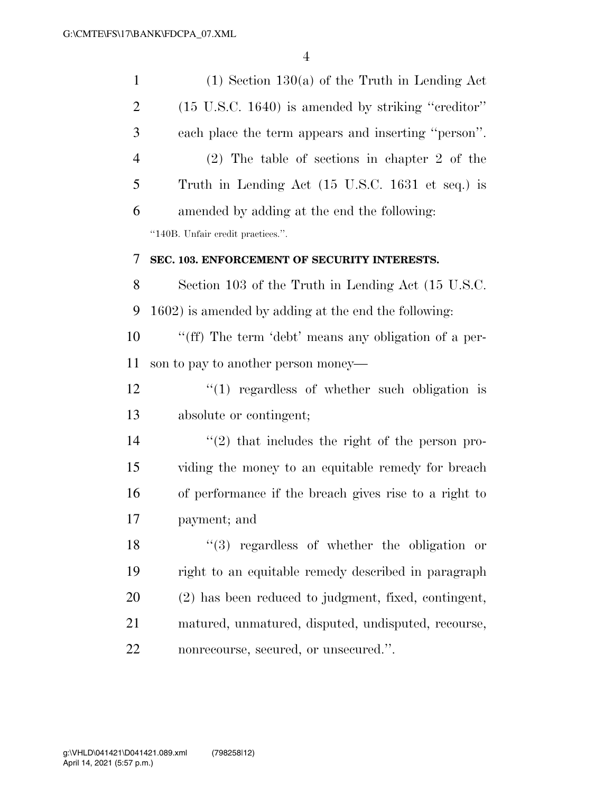| $\mathbf{1}$   | $(1)$ Section 130(a) of the Truth in Lending Act              |
|----------------|---------------------------------------------------------------|
| $\overline{2}$ | $(15 \text{ U.S.C. } 1640)$ is amended by striking "creditor" |
| 3              | each place the term appears and inserting "person".           |
| $\overline{4}$ | $(2)$ The table of sections in chapter 2 of the               |
| 5              | Truth in Lending Act (15 U.S.C. 1631 et seq.) is              |
| 6              | amended by adding at the end the following:                   |
|                | "140B. Unfair credit practices.".                             |
| 7              | SEC. 103. ENFORCEMENT OF SECURITY INTERESTS.                  |
| 8              | Section 103 of the Truth in Lending Act (15 U.S.C.            |
| 9              | 1602) is amended by adding at the end the following:          |
| 10             | "(ff) The term 'debt' means any obligation of a per-          |
| 11             | son to pay to another person money—                           |
| 12             | $\lq(1)$ regardless of whether such obligation is             |
| 13             | absolute or contingent;                                       |
| 14             | $\lq(2)$ that includes the right of the person pro-           |
| 15             | viding the money to an equitable remedy for breach            |
| 16             | of performance if the breach gives rise to a right to         |
| 17             | payment; and                                                  |
| 18             | "(3) regardless of whether the obligation or                  |
| 19             | right to an equitable remedy described in paragraph           |
| 20             | (2) has been reduced to judgment, fixed, contingent,          |
| 21             | matured, unmatured, disputed, undisputed, recourse,           |
| 22             | nonrecourse, secured, or unsecured.".                         |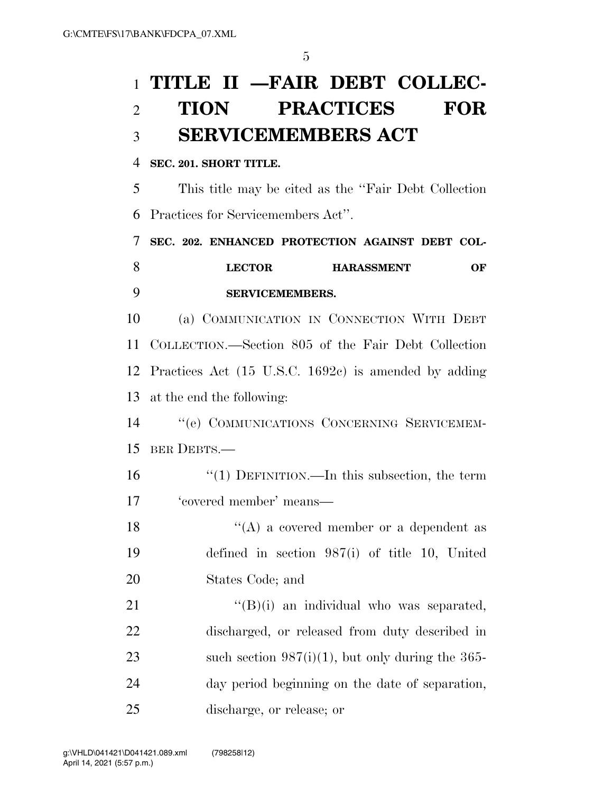## **TITLE II —FAIR DEBT COLLEC- TION PRACTICES FOR SERVICEMEMBERS ACT**

### **SEC. 201. SHORT TITLE.**

 This title may be cited as the ''Fair Debt Collection Practices for Servicemembers Act''.

 **SEC. 202. ENHANCED PROTECTION AGAINST DEBT COL- LECTOR HARASSMENT OF SERVICEMEMBERS.** 

 (a) COMMUNICATION IN CONNECTION WITH DEBT COLLECTION.—Section 805 of the Fair Debt Collection Practices Act (15 U.S.C. 1692c) is amended by adding at the end the following:

 ''(e) COMMUNICATIONS CONCERNING SERVICEMEM-BER DEBTS.—

 ''(1) DEFINITION.—In this subsection, the term 'covered member' means—

18  $\langle (A)$  a covered member or a dependent as defined in section 987(i) of title 10, United States Code; and

 $((B)(i)$  an individual who was separated, discharged, or released from duty described in such section 987(i)(1), but only during the 365- day period beginning on the date of separation, discharge, or release; or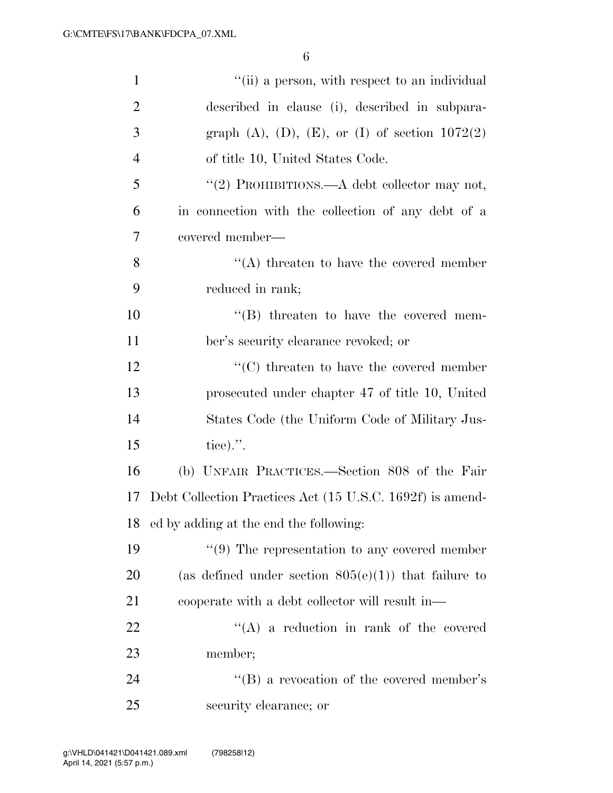| $\mathbf{1}$   | "(ii) a person, with respect to an individual               |
|----------------|-------------------------------------------------------------|
| $\overline{2}$ | described in clause (i), described in subpara-              |
| 3              | graph $(A)$ , $(D)$ , $(E)$ , or $(I)$ of section $1072(2)$ |
| $\overline{4}$ | of title 10, United States Code.                            |
| 5              | "(2) PROHIBITIONS.—A debt collector may not,                |
| 6              | in connection with the collection of any debt of a          |
| $\overline{7}$ | covered member—                                             |
| 8              | $\lq\lq$ threaten to have the covered member                |
| 9              | reduced in rank;                                            |
| 10             | $\lq\lq (B)$ threaten to have the covered mem-              |
| 11             | ber's security clearance revoked; or                        |
| 12             | $\cdot$ (C) threaten to have the covered member             |
| 13             | prosecuted under chapter 47 of title 10, United             |
| 14             | States Code (the Uniform Code of Military Jus-              |
| 15             | tice).".                                                    |
| 16             | (b) UNFAIR PRACTICES.—Section 808 of the Fair               |
| 17             | Debt Collection Practices Act (15 U.S.C. 1692f) is amend-   |
| 18             | ed by adding at the end the following:                      |
| 19             | $\lq(9)$ The representation to any covered member           |
| 20             | (as defined under section $805(e)(1)$ ) that failure to     |
| 21             | cooperate with a debt collector will result in—             |
| 22             | $\lq\lq$ a reduction in rank of the covered                 |
| 23             | member;                                                     |
| 24             | $\lq\lq (B)$ a revocation of the covered member's           |
| 25             | security clearance; or                                      |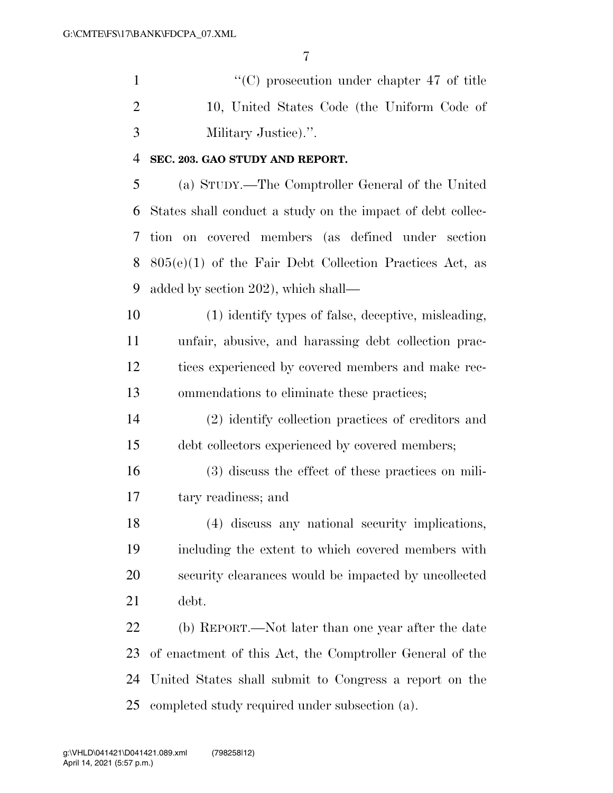1  $\langle ^{\prime}(C) \rangle$  prosecution under chapter 47 of title 10, United States Code (the Uniform Code of Military Justice).''.

### **SEC. 203. GAO STUDY AND REPORT.**

 (a) STUDY.—The Comptroller General of the United States shall conduct a study on the impact of debt collec- tion on covered members (as defined under section 805(e)(1) of the Fair Debt Collection Practices Act, as added by section 202), which shall—

 (1) identify types of false, deceptive, misleading, unfair, abusive, and harassing debt collection prac- tices experienced by covered members and make rec-ommendations to eliminate these practices;

 (2) identify collection practices of creditors and debt collectors experienced by covered members;

 (3) discuss the effect of these practices on mili-tary readiness; and

 (4) discuss any national security implications, including the extent to which covered members with security clearances would be impacted by uncollected debt.

 (b) REPORT.—Not later than one year after the date of enactment of this Act, the Comptroller General of the United States shall submit to Congress a report on the completed study required under subsection (a).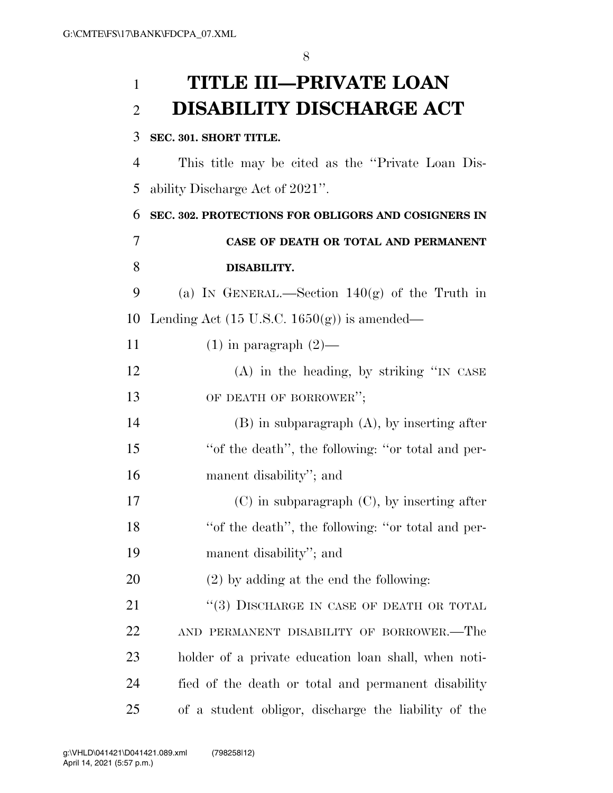## **TITLE III—PRIVATE LOAN DISABILITY DISCHARGE ACT**

### **SEC. 301. SHORT TITLE.**

11 (1) in paragraph  $(2)$ —

 This title may be cited as the ''Private Loan Dis-ability Discharge Act of 2021''.

 **SEC. 302. PROTECTIONS FOR OBLIGORS AND COSIGNERS IN CASE OF DEATH OR TOTAL AND PERMANENT DISABILITY.** 

9 (a) IN GENERAL.—Section  $140(g)$  of the Truth in 10 Lending Act (15 U.S.C. 1650 $(g)$ ) is amended—

 (A) in the heading, by striking ''IN CASE 13 OF DEATH OF BORROWER";

 (B) in subparagraph (A), by inserting after ''of the death'', the following: ''or total and per-manent disability''; and

 (C) in subparagraph (C), by inserting after ''of the death'', the following: ''or total and per-manent disability''; and

(2) by adding at the end the following:

21 ''(3) DISCHARGE IN CASE OF DEATH OR TOTAL AND PERMANENT DISABILITY OF BORROWER.—The holder of a private education loan shall, when noti- fied of the death or total and permanent disability of a student obligor, discharge the liability of the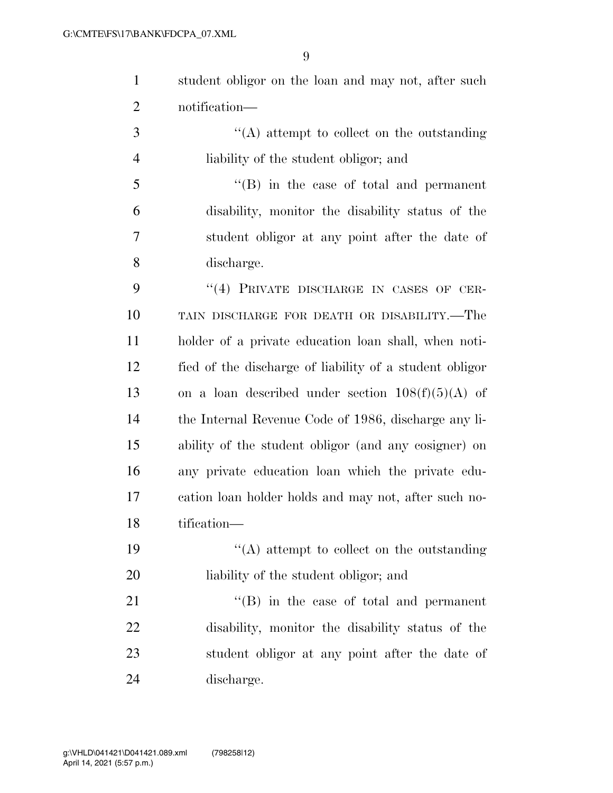student obligor on the loan and may not, after such notification—

 ''(A) attempt to collect on the outstanding liability of the student obligor; and

 ''(B) in the case of total and permanent disability, monitor the disability status of the student obligor at any point after the date of discharge.

9 "(4) PRIVATE DISCHARGE IN CASES OF CER- TAIN DISCHARGE FOR DEATH OR DISABILITY.—The holder of a private education loan shall, when noti- fied of the discharge of liability of a student obligor 13 on a loan described under section  $108(f)(5)(A)$  of the Internal Revenue Code of 1986, discharge any li- ability of the student obligor (and any cosigner) on any private education loan which the private edu- cation loan holder holds and may not, after such no-tification—

19  $\langle (A)$  attempt to collect on the outstanding liability of the student obligor; and

21 ''(B) in the case of total and permanent disability, monitor the disability status of the student obligor at any point after the date of discharge.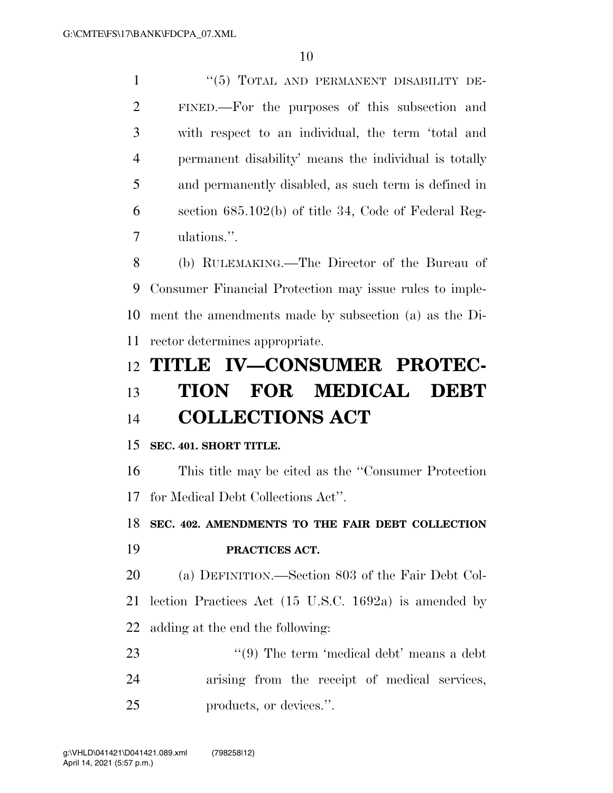''(5) TOTAL AND PERMANENT DISABILITY DE- FINED.—For the purposes of this subsection and with respect to an individual, the term 'total and permanent disability' means the individual is totally and permanently disabled, as such term is defined in section 685.102(b) of title 34, Code of Federal Reg-ulations.''.

 (b) RULEMAKING.—The Director of the Bureau of Consumer Financial Protection may issue rules to imple- ment the amendments made by subsection (a) as the Di-rector determines appropriate.

## **TITLE IV—CONSUMER PROTEC- TION FOR MEDICAL DEBT COLLECTIONS ACT**

### **SEC. 401. SHORT TITLE.**

 This title may be cited as the ''Consumer Protection for Medical Debt Collections Act''.

 **SEC. 402. AMENDMENTS TO THE FAIR DEBT COLLECTION PRACTICES ACT.** 

 (a) DEFINITION.—Section 803 of the Fair Debt Col- lection Practices Act (15 U.S.C. 1692a) is amended by adding at the end the following:

23 ''(9) The term 'medical debt' means a debt arising from the receipt of medical services, products, or devices.''.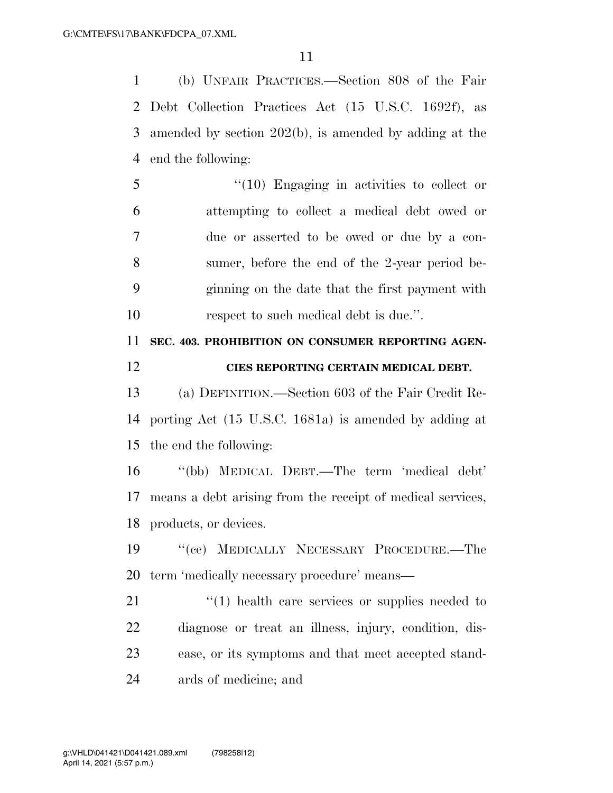(b) UNFAIR PRACTICES.—Section 808 of the Fair Debt Collection Practices Act (15 U.S.C. 1692f), as amended by section 202(b), is amended by adding at the end the following:

 ''(10) Engaging in activities to collect or attempting to collect a medical debt owed or due or asserted to be owed or due by a con- sumer, before the end of the 2-year period be- ginning on the date that the first payment with 10 respect to such medical debt is due.".

## **SEC. 403. PROHIBITION ON CONSUMER REPORTING AGEN-CIES REPORTING CERTAIN MEDICAL DEBT.**

 (a) DEFINITION.—Section 603 of the Fair Credit Re- porting Act (15 U.S.C. 1681a) is amended by adding at the end the following:

 ''(bb) MEDICAL DEBT.—The term 'medical debt' means a debt arising from the receipt of medical services, products, or devices.

 ''(cc) MEDICALLY NECESSARY PROCEDURE.—The term 'medically necessary procedure' means—

21 ''(1) health care services or supplies needed to diagnose or treat an illness, injury, condition, dis- ease, or its symptoms and that meet accepted stand-ards of medicine; and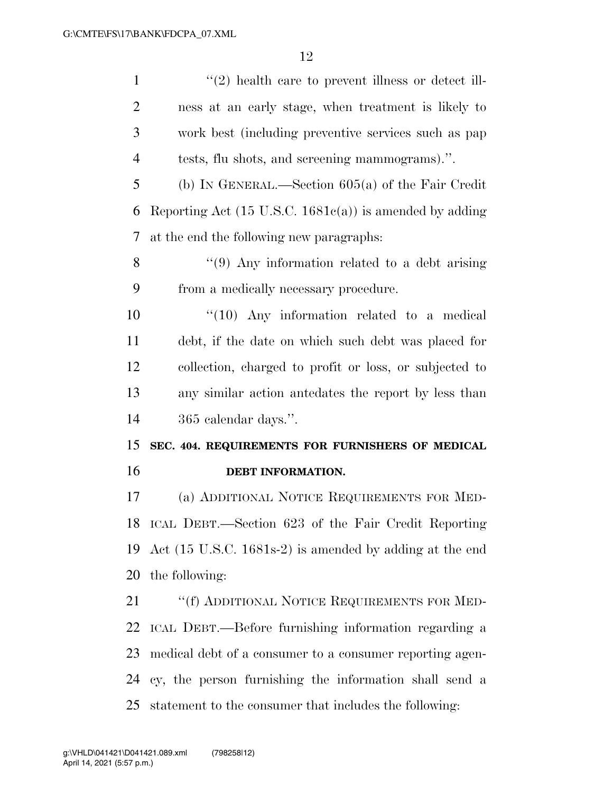1 ''(2) health care to prevent illness or detect ill- ness at an early stage, when treatment is likely to work best (including preventive services such as pap tests, flu shots, and screening mammograms).''. (b) IN GENERAL.—Section 605(a) of the Fair Credit 6 Reporting Act  $(15 \text{ U.S.C. } 1681c(a))$  is amended by adding at the end the following new paragraphs: 8 "(9) Any information related to a debt arising from a medically necessary procedure.  $\frac{10}{10}$  Any information related to a medical debt, if the date on which such debt was placed for collection, charged to profit or loss, or subjected to any similar action antedates the report by less than 365 calendar days.''. **SEC. 404. REQUIREMENTS FOR FURNISHERS OF MEDICAL DEBT INFORMATION.**  (a) ADDITIONAL NOTICE REQUIREMENTS FOR MED- ICAL DEBT.—Section 623 of the Fair Credit Reporting Act (15 U.S.C. 1681s-2) is amended by adding at the end the following: 21 ""(f) ADDITIONAL NOTICE REQUIREMENTS FOR MED- ICAL DEBT.—Before furnishing information regarding a medical debt of a consumer to a consumer reporting agen- cy, the person furnishing the information shall send a statement to the consumer that includes the following: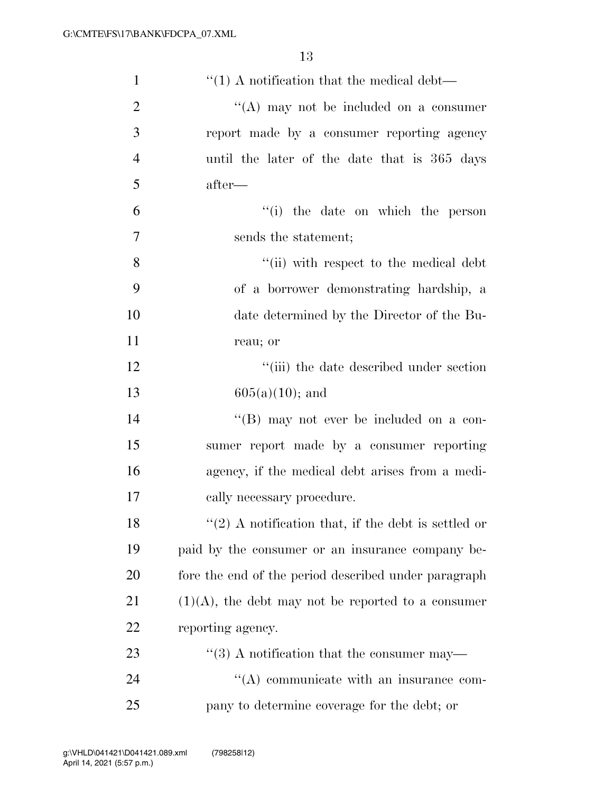| $\mathbf{1}$   | $\cdot$ (1) A notification that the medical debt—       |
|----------------|---------------------------------------------------------|
| $\overline{2}$ | $\lq\lq$ may not be included on a consumer              |
| 3              | report made by a consumer reporting agency              |
| $\overline{4}$ | until the later of the date that is 365 days            |
| 5              | after—                                                  |
| 6              | "(i) the date on which the person                       |
| 7              | sends the statement;                                    |
| 8              | "(ii) with respect to the medical debt                  |
| 9              | of a borrower demonstrating hardship, a                 |
| 10             | date determined by the Director of the Bu-              |
| 11             | reau; or                                                |
| 12             | "(iii) the date described under section                 |
| 13             | $605(a)(10)$ ; and                                      |
| 14             | "(B) may not ever be included on a con-                 |
| 15             | sumer report made by a consumer reporting               |
| 16             | agency, if the medical debt arises from a medi-         |
| 17             | cally necessary procedure.                              |
| 18             | $\lq(2)$ A notification that, if the debt is settled or |
| 19             | paid by the consumer or an insurance company be-        |
| 20             | fore the end of the period described under paragraph    |
| 21             | $(1)(A)$ , the debt may not be reported to a consumer   |
| 22             | reporting agency.                                       |
| 23             | $``(3)$ A notification that the consumer may—           |
| 24             | $\lq\lq$ communicate with an insurance com-             |
| 25             | pany to determine coverage for the debt; or             |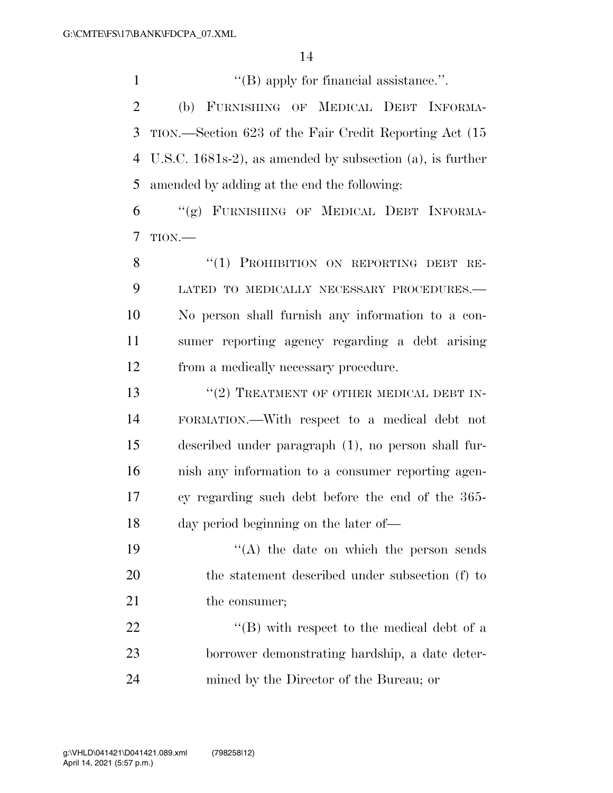1  $\langle$  (B) apply for financial assistance.".

 (b) FURNISHING OF MEDICAL DEBT INFORMA- TION.—Section 623 of the Fair Credit Reporting Act (15 U.S.C. 1681s-2), as amended by subsection (a), is further amended by adding at the end the following:

 ''(g) FURNISHING OF MEDICAL DEBT INFORMA-TION.—

8 "(1) PROHIBITION ON REPORTING DEBT RE- LATED TO MEDICALLY NECESSARY PROCEDURES.— No person shall furnish any information to a con- sumer reporting agency regarding a debt arising from a medically necessary procedure.

13 "(2) TREATMENT OF OTHER MEDICAL DEBT IN- FORMATION.—With respect to a medical debt not described under paragraph (1), no person shall fur- nish any information to a consumer reporting agen- cy regarding such debt before the end of the 365- day period beginning on the later of—

19  $((A)$  the date on which the person sends the statement described under subsection (f) to 21 the consumer;

22 ''(B) with respect to the medical debt of a borrower demonstrating hardship, a date deter-mined by the Director of the Bureau; or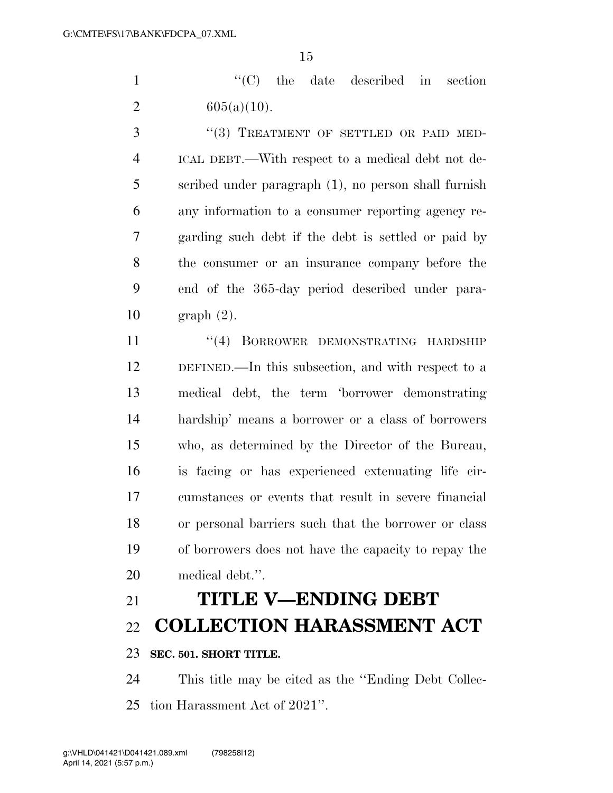1  $\cdot$  ''(C) the date described in section 2  $605(a)(10)$ .

3 "(3) TREATMENT OF SETTLED OR PAID MED- ICAL DEBT.—With respect to a medical debt not de- scribed under paragraph (1), no person shall furnish any information to a consumer reporting agency re- garding such debt if the debt is settled or paid by the consumer or an insurance company before the end of the 365-day period described under para-graph (2).

11 ''(4) BORROWER DEMONSTRATING HARDSHIP DEFINED.—In this subsection, and with respect to a medical debt, the term 'borrower demonstrating hardship' means a borrower or a class of borrowers who, as determined by the Director of the Bureau, is facing or has experienced extenuating life cir- cumstances or events that result in severe financial or personal barriers such that the borrower or class of borrowers does not have the capacity to repay the medical debt.''.

# **TITLE V—ENDING DEBT**

**COLLECTION HARASSMENT ACT** 

### **SEC. 501. SHORT TITLE.**

 This title may be cited as the ''Ending Debt Collec-tion Harassment Act of 2021''.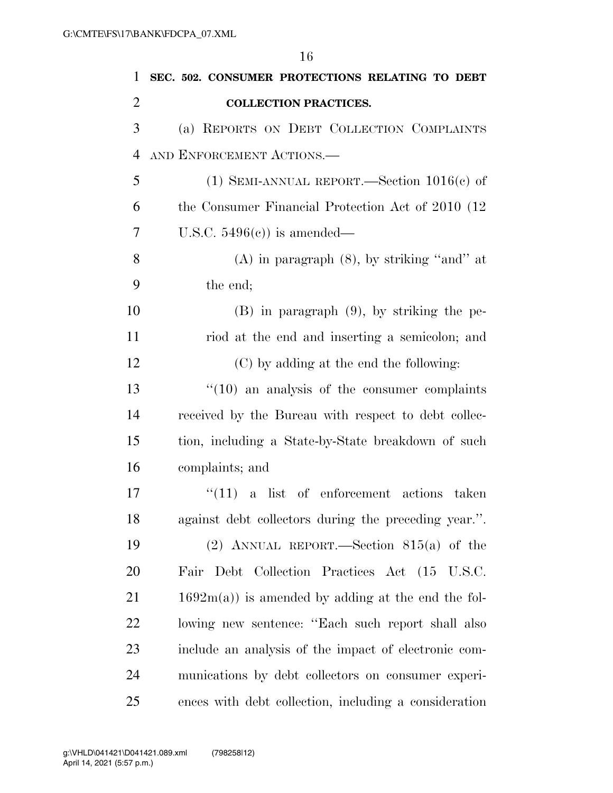**SEC. 502. CONSUMER PROTECTIONS RELATING TO DEBT COLLECTION PRACTICES.**  (a) REPORTS ON DEBT COLLECTION COMPLAINTS AND ENFORCEMENT ACTIONS.— 5 (1) SEMI-ANNUAL REPORT.—Section  $1016(c)$  of the Consumer Financial Protection Act of 2010 (12 U.S.C. 5496(c)) is amended— 8 (A) in paragraph  $(8)$ , by striking "and" at the end; (B) in paragraph (9), by striking the pe- riod at the end and inserting a semicolon; and (C) by adding at the end the following: 13 ''(10) an analysis of the consumer complaints received by the Bureau with respect to debt collec- tion, including a State-by-State breakdown of such complaints; and 17 ''(11) a list of enforcement actions taken against debt collectors during the preceding year.''. (2) ANNUAL REPORT.—Section 815(a) of the Fair Debt Collection Practices Act (15 U.S.C.  $21 \t 1692m(a)$  is amended by adding at the end the fol- lowing new sentence: ''Each such report shall also include an analysis of the impact of electronic com-

munications by debt collectors on consumer experi-

ences with debt collection, including a consideration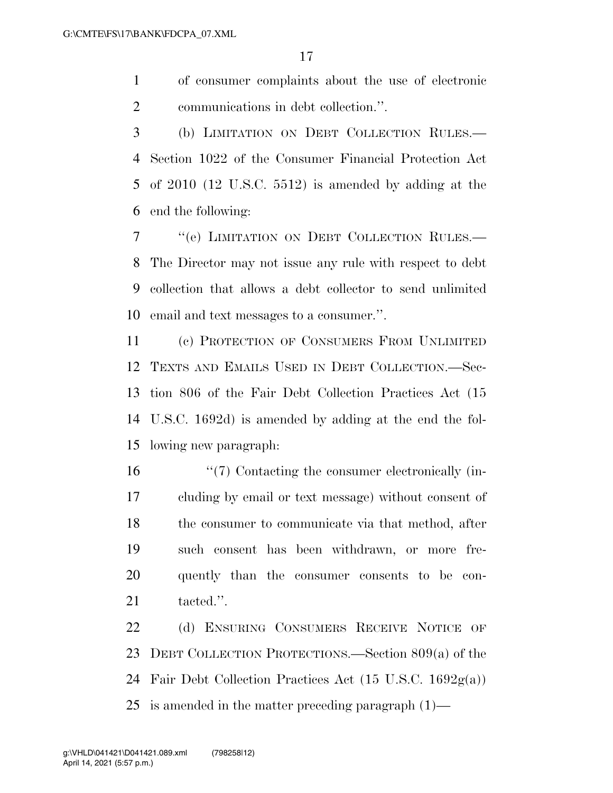of consumer complaints about the use of electronic communications in debt collection.''.

 (b) LIMITATION ON DEBT COLLECTION RULES.— Section 1022 of the Consumer Financial Protection Act of 2010 (12 U.S.C. 5512) is amended by adding at the end the following:

 ''(e) LIMITATION ON DEBT COLLECTION RULES.— The Director may not issue any rule with respect to debt collection that allows a debt collector to send unlimited email and text messages to a consumer.''.

 (c) PROTECTION OF CONSUMERS FROM UNLIMITED TEXTS AND EMAILS USED IN DEBT COLLECTION.—Sec- tion 806 of the Fair Debt Collection Practices Act (15 U.S.C. 1692d) is amended by adding at the end the fol-lowing new paragraph:

 ''(7) Contacting the consumer electronically (in- cluding by email or text message) without consent of the consumer to communicate via that method, after such consent has been withdrawn, or more fre- quently than the consumer consents to be con-21 tacted.".

22 (d) ENSURING CONSUMERS RECEIVE NOTICE OF DEBT COLLECTION PROTECTIONS.—Section 809(a) of the Fair Debt Collection Practices Act (15 U.S.C. 1692g(a)) is amended in the matter preceding paragraph (1)—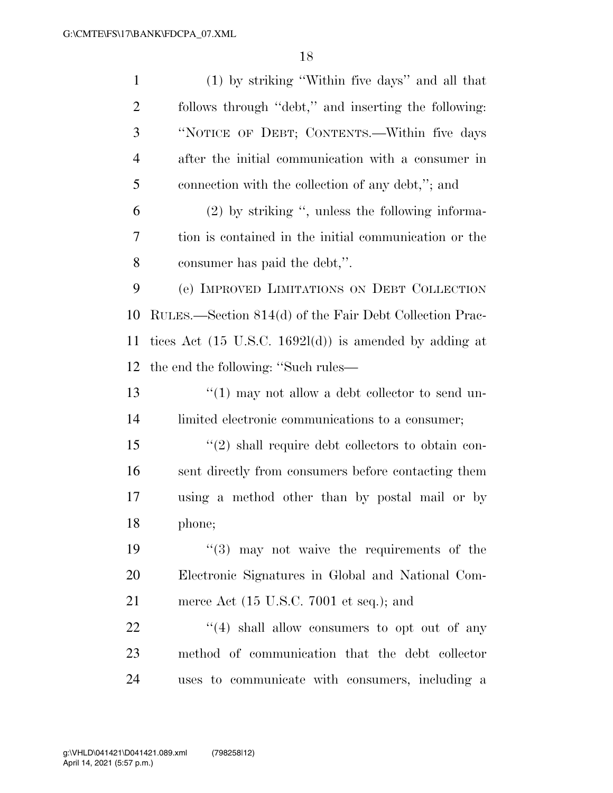| $\mathbf{1}$   | (1) by striking "Within five days" and all that                   |
|----------------|-------------------------------------------------------------------|
| $\overline{2}$ | follows through "debt," and inserting the following:              |
| 3              | "NOTICE OF DEBT; CONTENTS.—Within five days                       |
| $\overline{4}$ | after the initial communication with a consumer in                |
| 5              | connection with the collection of any debt,"; and                 |
| 6              | $(2)$ by striking ", unless the following informa-                |
| 7              | tion is contained in the initial communication or the             |
| 8              | consumer has paid the debt,".                                     |
| 9              | (e) IMPROVED LIMITATIONS ON DEBT COLLECTION                       |
| 10             | RULES.—Section 814(d) of the Fair Debt Collection Prac-           |
| 11             | tices Act $(15 \text{ U.S.C. } 1692l(d))$ is amended by adding at |
| 12             | the end the following: "Such rules—                               |
| 13             | " $(1)$ may not allow a debt collector to send un-                |
| 14             | limited electronic communications to a consumer;                  |
| 15             | $\lq(2)$ shall require debt collectors to obtain con-             |
| 16             | sent directly from consumers before contacting them               |
| 17             | using a method other than by postal mail or by                    |
| 18             | phone;                                                            |
| 19             | $(3)$ may not waive the requirements of the                       |
| 20             | Electronic Signatures in Global and National Com-                 |
| 21             | merce Act $(15 \text{ U.S.C. } 7001 \text{ et seq.});$ and        |
| 22             | $(4)$ shall allow consumers to opt out of any                     |
| 23             | method of communication that the debt collector                   |
| 24             | uses to communicate with consumers, including a                   |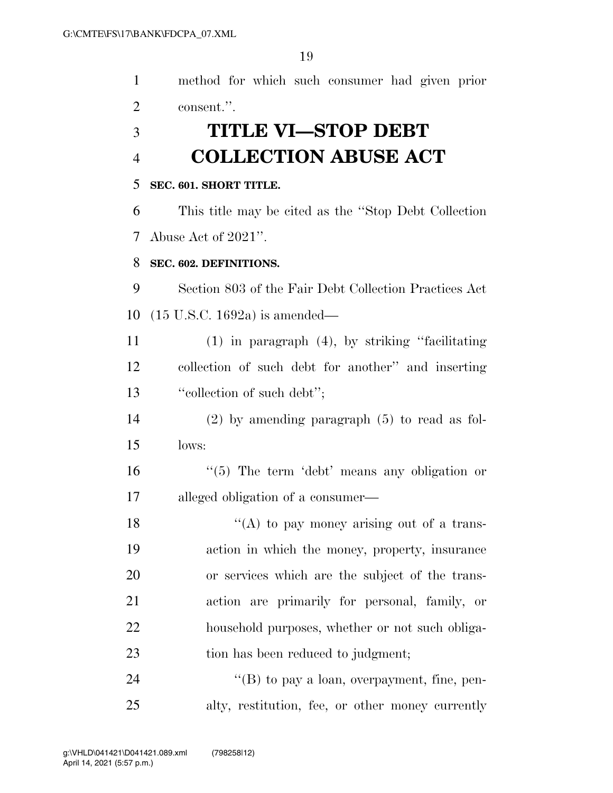| $\mathbf{1}$   | method for which such consumer had given prior        |
|----------------|-------------------------------------------------------|
| $\overline{2}$ | consent.".                                            |
| 3              | <b>TITLE VI-STOP DEBT</b>                             |
| $\overline{4}$ | <b>COLLECTION ABUSE ACT</b>                           |
| 5              | SEC. 601. SHORT TITLE.                                |
| 6              | This title may be cited as the "Stop Debt Collection" |
| 7              | Abuse Act of 2021".                                   |
| 8              | SEC. 602. DEFINITIONS.                                |
| 9              | Section 803 of the Fair Debt Collection Practices Act |
| 10             | $(15 \text{ U.S.C. } 1692a)$ is amended—              |
| 11             | $(1)$ in paragraph $(4)$ , by striking "facilitating" |
| 12             | collection of such debt for another" and inserting    |
| 13             | "collection of such debt";                            |
| 14             | $(2)$ by amending paragraph $(5)$ to read as fol-     |
| 15             | lows:                                                 |
| 16             | $\lq(5)$ The term 'debt' means any obligation or      |
| 17             | alleged obligation of a consumer—                     |
| 18             | "(A) to pay money arising out of a trans-             |
| 19             | action in which the money, property, insurance        |
| 20             | or services which are the subject of the trans-       |
| 21             | action are primarily for personal, family, or         |
| 22             | household purposes, whether or not such obliga-       |
| 23             | tion has been reduced to judgment;                    |
| 24             | " $(B)$ to pay a loan, overpayment, fine, pen-        |
| 25             | alty, restitution, fee, or other money currently      |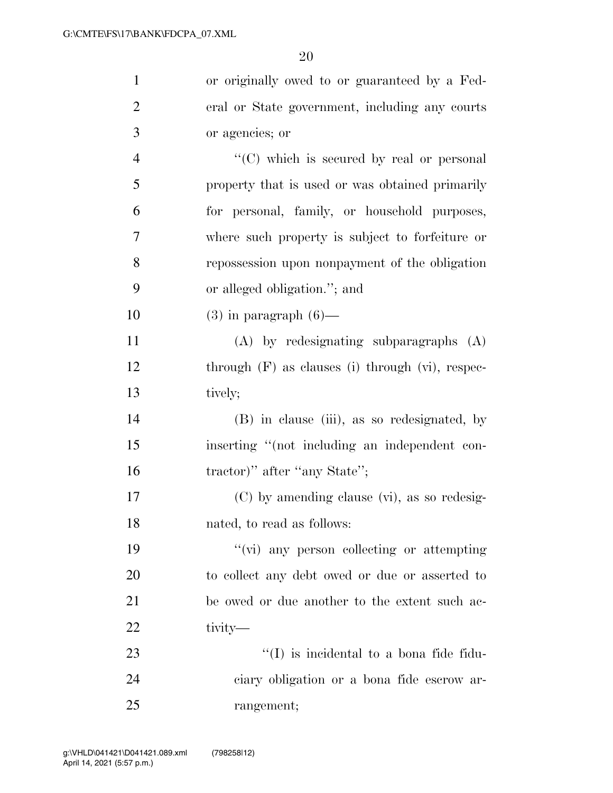| $\mathbf{1}$   | or originally owed to or guaranteed by a Fed-         |
|----------------|-------------------------------------------------------|
| $\overline{2}$ | eral or State government, including any courts        |
| 3              | or agencies; or                                       |
| $\overline{4}$ | "(C) which is secured by real or personal             |
| 5              | property that is used or was obtained primarily       |
| 6              | for personal, family, or household purposes,          |
| 7              | where such property is subject to forfeiture or       |
| 8              | repossession upon nonpayment of the obligation        |
| 9              | or alleged obligation."; and                          |
| 10             | $(3)$ in paragraph $(6)$ —                            |
| 11             | $(A)$ by redesignating subparagraphs $(A)$            |
| 12             | through $(F)$ as clauses (i) through $(vi)$ , respec- |
| 13             | tively;                                               |
| 14             | (B) in clause (iii), as so redesignated, by           |
| 15             | inserting "(not including an independent con-         |
| 16             | tractor)" after "any State";                          |
| 17             | (C) by amending clause (vi), as so redesig-           |
| 18             | nated, to read as follows:                            |
| 19             | "(vi) any person collecting or attempting             |
| 20             | to collect any debt owed or due or asserted to        |
| 21             | be owed or due another to the extent such ac-         |
| 22             | tivity-                                               |
| 23             | $\lq\lq$ is incidental to a bona fide fidu-           |
| 24             | ciary obligation or a bona fide escrow ar-            |
| 25             | rangement;                                            |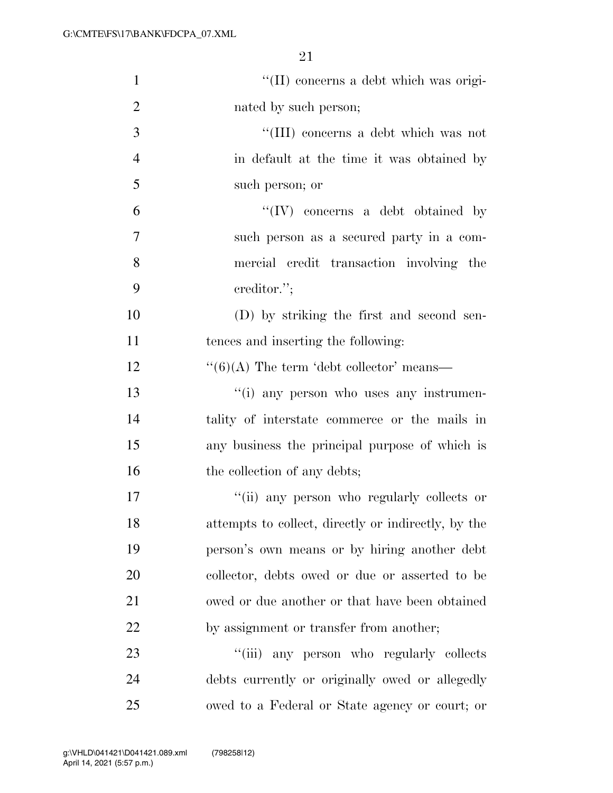| $\mathbf{1}$   | "(II) concerns a debt which was origi-               |
|----------------|------------------------------------------------------|
| $\overline{2}$ | nated by such person;                                |
| 3              | "(III) concerns a debt which was not                 |
| $\overline{4}$ | in default at the time it was obtained by            |
| 5              | such person; or                                      |
| 6              | $\lq\lq (IV)$ concerns a debt obtained by            |
| 7              | such person as a secured party in a com-             |
| 8              | mercial credit transaction involving the             |
| 9              | creditor.";                                          |
| 10             | (D) by striking the first and second sen-            |
| 11             | tences and inserting the following:                  |
| 12             | $\cdot\cdot(6)$ (A) The term 'debt collector' means— |
| 13             | "(i) any person who uses any instrumen-              |
| 14             | tality of interstate commerce or the mails in        |
| 15             | any business the principal purpose of which is       |
| 16             | the collection of any debts;                         |
| 17             | "(ii) any person who regularly collects or           |
| 18             | attempts to collect, directly or indirectly, by the  |
| 19             | person's own means or by hiring another debt         |
| 20             | collector, debts owed or due or asserted to be       |
| 21             | owed or due another or that have been obtained       |
| 22             | by assignment or transfer from another;              |
| 23             | ``(iii)<br>any person who regularly collects         |
| 24             | debts currently or originally owed or allegedly      |
| 25             | owed to a Federal or State agency or court; or       |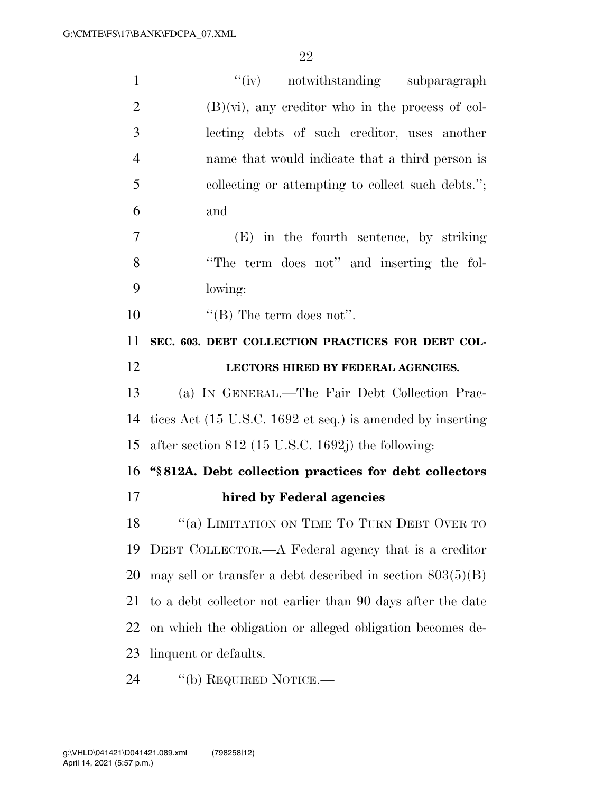| $\mathbf{1}$   | "(iv) notwithstanding subparagraph                           |
|----------------|--------------------------------------------------------------|
| $\overline{2}$ | $(B)(vi)$ , any creditor who in the process of col-          |
| 3              | lecting debts of such creditor, uses another                 |
| $\overline{4}$ | name that would indicate that a third person is              |
| 5              | collecting or attempting to collect such debts.";            |
| 6              | and                                                          |
| 7              | (E) in the fourth sentence, by striking                      |
| 8              | "The term does not" and inserting the fol-                   |
| 9              | lowing:                                                      |
| 10             | "(B) The term does not".                                     |
| 11             | SEC. 603. DEBT COLLECTION PRACTICES FOR DEBT COL-            |
| 12             | LECTORS HIRED BY FEDERAL AGENCIES.                           |
| 13             | (a) IN GENERAL.—The Fair Debt Collection Prac-               |
|                |                                                              |
| 14             | tices Act (15 U.S.C. 1692 et seq.) is amended by inserting   |
| 15             | after section $812$ (15 U.S.C. 1692j) the following:         |
| 16             | "§812A. Debt collection practices for debt collectors        |
| 17             | hired by Federal agencies                                    |
| 18             | "(a) LIMITATION ON TIME TO TURN DEBT OVER TO                 |
| 19             | DEBT COLLECTOR.—A Federal agency that is a creditor          |
| 20             | may sell or transfer a debt described in section $803(5)(B)$ |
| 21             | to a debt collector not earlier than 90 days after the date  |
| 22             | on which the obligation or alleged obligation becomes de-    |
| 23             | linquent or defaults.                                        |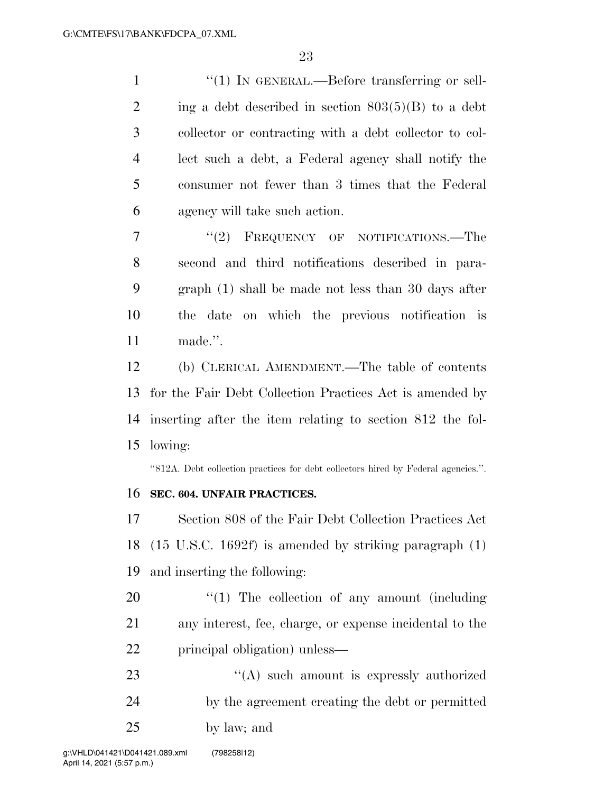$\frac{1}{1}$  In GENERAL.—Before transferring or sell-2 ing a debt described in section  $803(5)(B)$  to a debt collector or contracting with a debt collector to col- lect such a debt, a Federal agency shall notify the consumer not fewer than 3 times that the Federal agency will take such action.

7 "(2) FREQUENCY OF NOTIFICATIONS.—The second and third notifications described in para- graph (1) shall be made not less than 30 days after the date on which the previous notification is made.''.

 (b) CLERICAL AMENDMENT.—The table of contents for the Fair Debt Collection Practices Act is amended by inserting after the item relating to section 812 the fol-lowing:

''812A. Debt collection practices for debt collectors hired by Federal agencies.''.

### **SEC. 604. UNFAIR PRACTICES.**

 Section 808 of the Fair Debt Collection Practices Act (15 U.S.C. 1692f) is amended by striking paragraph (1) and inserting the following:

- 20  $\frac{1}{20}$  The collection of any amount (including any interest, fee, charge, or expense incidental to the principal obligation) unless—
- 23 "(A) such amount is expressly authorized by the agreement creating the debt or permitted by law; and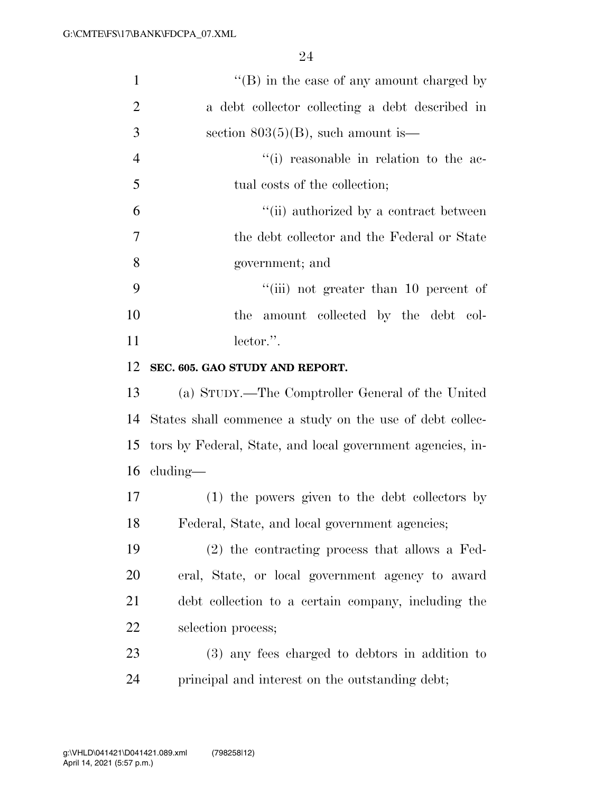| $\mathbf{1}$   | $\lq\lq (B)$ in the case of any amount charged by          |
|----------------|------------------------------------------------------------|
| $\overline{2}$ | a debt collector collecting a debt described in            |
| 3              | section $803(5)(B)$ , such amount is—                      |
| $\overline{4}$ | "(i) reasonable in relation to the ac-                     |
| 5              | tual costs of the collection;                              |
| 6              | "(ii) authorized by a contract between                     |
| $\tau$         | the debt collector and the Federal or State                |
| 8              | government; and                                            |
| 9              | $``(iii)$ not greater than 10 percent of                   |
| 10             | the amount collected by the debt col-                      |
| 11             | lector.".                                                  |
| 12             | SEC. 605. GAO STUDY AND REPORT.                            |
| 13             | (a) STUDY.—The Comptroller General of the United           |
| 14             | States shall commence a study on the use of debt collec-   |
| 15             | tors by Federal, State, and local government agencies, in- |
|                | $16$ cluding—                                              |
| 17             | (1) the powers given to the debt collectors by             |
| 18             | Federal, State, and local government agencies;             |
| 19             | $(2)$ the contracting process that allows a Fed-           |
| 20             | eral, State, or local government agency to award           |
| 21             | debt collection to a certain company, including the        |
| 22             | selection process;                                         |
| 23             | (3) any fees charged to debtors in addition to             |
| 24             | principal and interest on the outstanding debt;            |
|                |                                                            |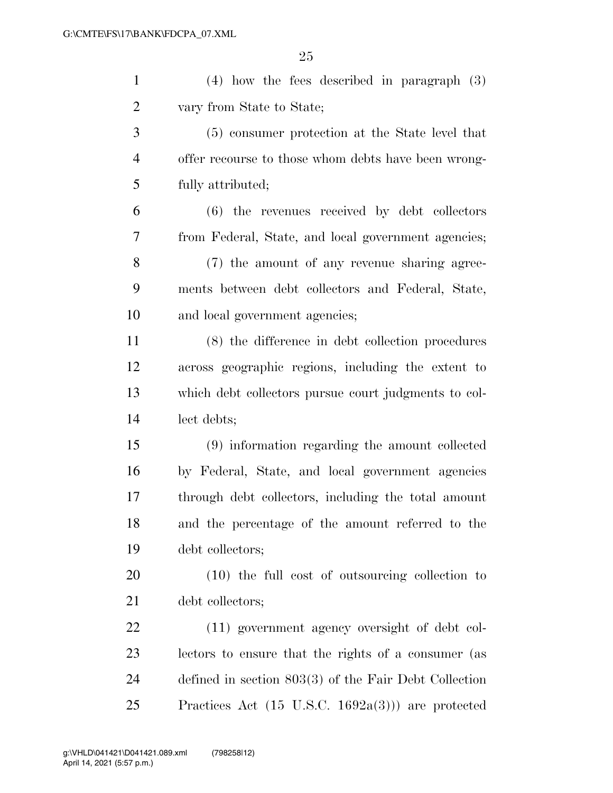| $\mathbf{1}$   | $(4)$ how the fees described in paragraph $(3)$              |
|----------------|--------------------------------------------------------------|
| $\overline{2}$ | vary from State to State;                                    |
| 3              | (5) consumer protection at the State level that              |
| $\overline{4}$ | offer recourse to those whom debts have been wrong-          |
| 5              | fully attributed;                                            |
| 6              | $(6)$ the revenues received by debt collectors               |
| 7              | from Federal, State, and local government agencies;          |
| 8              | (7) the amount of any revenue sharing agree-                 |
| 9              | ments between debt collectors and Federal, State,            |
| 10             | and local government agencies;                               |
| 11             | (8) the difference in debt collection procedures             |
| 12             | across geographic regions, including the extent to           |
| 13             | which debt collectors pursue court judgments to col-         |
| 14             | lect debts;                                                  |
| 15             | (9) information regarding the amount collected               |
| 16             | by Federal, State, and local government agencies             |
| 17             | through debt collectors, including the total amount          |
| 18             | and the percentage of the amount referred to the             |
| 19             | debt collectors;                                             |
| 20             | $(10)$ the full cost of outsourcing collection to            |
| 21             | debt collectors;                                             |
| 22             | (11) government agency oversight of debt col-                |
| 23             | lectors to ensure that the rights of a consumer (as          |
| 24             | defined in section $803(3)$ of the Fair Debt Collection      |
| 25             | Practices Act $(15 \text{ U.S.C. } 1692a(3)))$ are protected |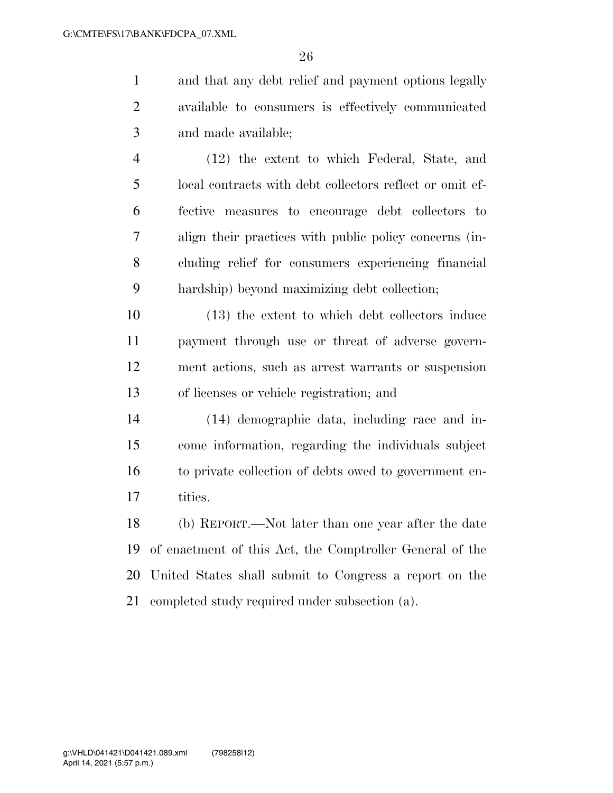and that any debt relief and payment options legally available to consumers is effectively communicated and made available;

 (12) the extent to which Federal, State, and local contracts with debt collectors reflect or omit ef- fective measures to encourage debt collectors to align their practices with public policy concerns (in- cluding relief for consumers experiencing financial hardship) beyond maximizing debt collection;

 (13) the extent to which debt collectors induce payment through use or threat of adverse govern- ment actions, such as arrest warrants or suspension of licenses or vehicle registration; and

 (14) demographic data, including race and in- come information, regarding the individuals subject to private collection of debts owed to government en-tities.

 (b) REPORT.—Not later than one year after the date of enactment of this Act, the Comptroller General of the United States shall submit to Congress a report on the completed study required under subsection (a).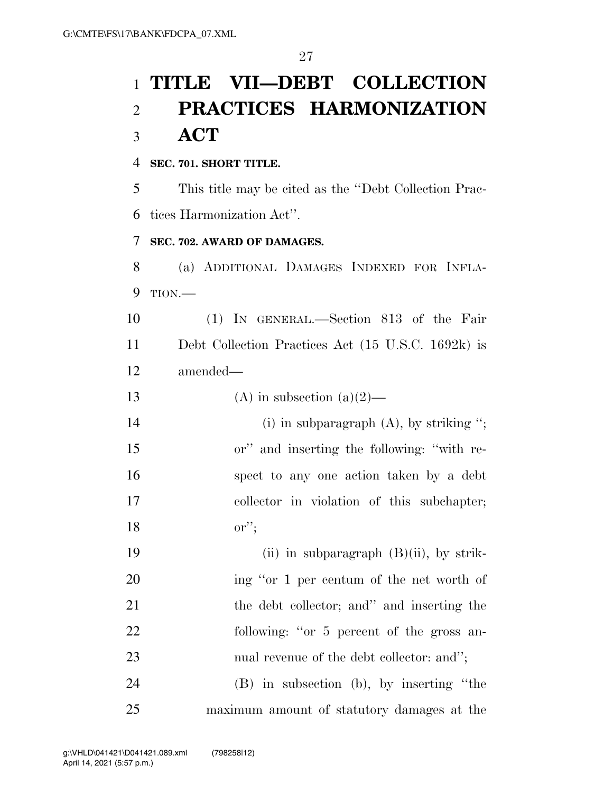# **TITLE VII—DEBT COLLECTION PRACTICES HARMONIZATION ACT**

### **SEC. 701. SHORT TITLE.**

 This title may be cited as the ''Debt Collection Prac-tices Harmonization Act''.

### **SEC. 702. AWARD OF DAMAGES.**

 (a) ADDITIONAL DAMAGES INDEXED FOR INFLA-TION.—

 (1) IN GENERAL.—Section 813 of the Fair Debt Collection Practices Act (15 U.S.C. 1692k) is amended—

13 (A) in subsection  $(a)(2)$ —

14 (i) in subparagraph (A), by striking "; or'' and inserting the following: ''with re- spect to any one action taken by a debt collector in violation of this subchapter; or'';

19 (ii) in subparagraph (B)(ii), by strik- ing ''or 1 per centum of the net worth of the debt collector; and'' and inserting the 22 following: "or 5 percent of the gross an-23 nual revenue of the debt collector: and":

 (B) in subsection (b), by inserting ''the maximum amount of statutory damages at the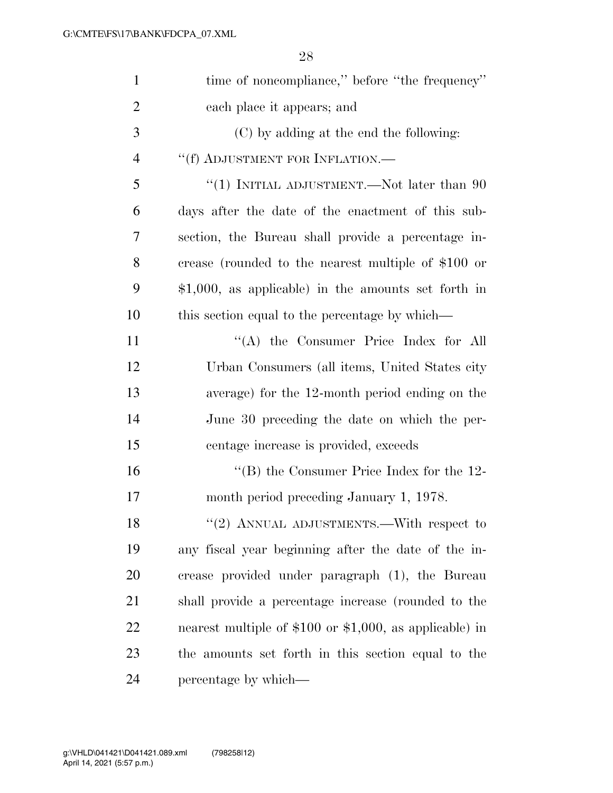| $\mathbf{1}$   | time of noncompliance," before "the frequency"             |
|----------------|------------------------------------------------------------|
|                |                                                            |
| $\overline{2}$ | each place it appears; and                                 |
| 3              | (C) by adding at the end the following:                    |
| $\overline{4}$ | "(f) ADJUSTMENT FOR INFLATION.—                            |
| 5              | "(1) INITIAL ADJUSTMENT.—Not later than $90$               |
| 6              | days after the date of the enactment of this sub-          |
| 7              | section, the Bureau shall provide a percentage in-         |
| 8              | crease (rounded to the nearest multiple of \$100 or        |
| 9              | $$1,000$ , as applicable) in the amounts set forth in      |
| 10             | this section equal to the percentage by which—             |
| 11             | "(A) the Consumer Price Index for All                      |
| 12             | Urban Consumers (all items, United States city             |
| 13             | average) for the 12-month period ending on the             |
| 14             | June 30 preceding the date on which the per-               |
| 15             | centage increase is provided, exceeds                      |
| 16             | "(B) the Consumer Price Index for the $12$ -               |
| 17             | month period preceding January 1, 1978.                    |
| 18             | "(2) ANNUAL ADJUSTMENTS.—With respect to                   |
| 19             | any fiscal year beginning after the date of the in-        |
| 20             | crease provided under paragraph (1), the Bureau            |
| 21             | shall provide a percentage increase (rounded to the        |
| 22             | nearest multiple of $$100$ or $$1,000$ , as applicable) in |
| 23             | the amounts set forth in this section equal to the         |
| 24             | percentage by which—                                       |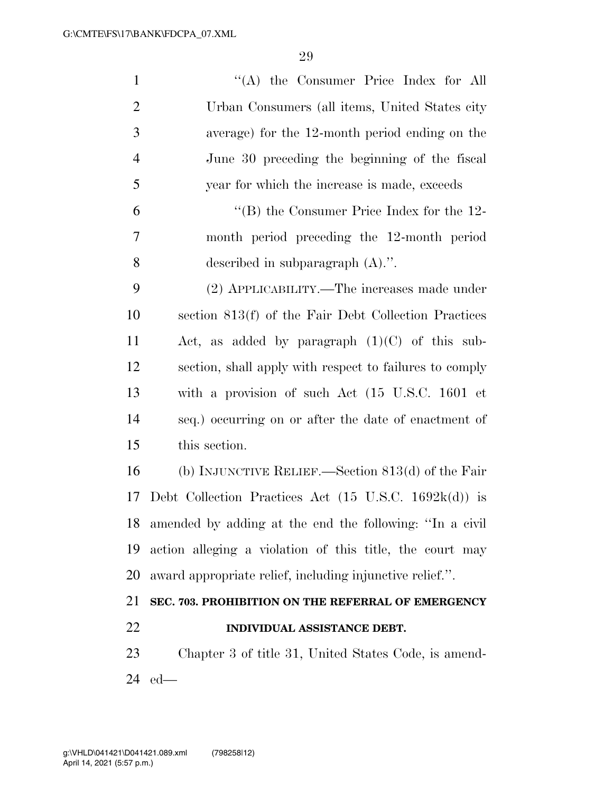| $\mathbf{1}$   | "(A) the Consumer Price Index for All                                   |
|----------------|-------------------------------------------------------------------------|
| $\overline{2}$ | Urban Consumers (all items, United States city                          |
| 3              | average) for the 12-month period ending on the                          |
| $\overline{4}$ | June 30 preceding the beginning of the fiscal                           |
| 5              | year for which the increase is made, exceeds                            |
| 6              | "(B) the Consumer Price Index for the $12$ -                            |
| 7              | month period preceding the 12-month period                              |
| 8              | described in subparagraph $(A)$ .".                                     |
| 9              | (2) APPLICABILITY.—The increases made under                             |
| 10             | section 813(f) of the Fair Debt Collection Practices                    |
| 11             | Act, as added by paragraph $(1)(C)$ of this sub-                        |
| 12             | section, shall apply with respect to failures to comply                 |
| 13             | with a provision of such Act (15 U.S.C. 1601 et                         |
| 14             | seq.) occurring on or after the date of enactment of                    |
| 15             | this section.                                                           |
| 16             | (b) INJUNCTIVE RELIEF.—Section $813(d)$ of the Fair                     |
| 17             | Debt Collection Practices Act $(15 \text{ U.S.C. } 1692\text{k(d)})$ is |
| 18             | amended by adding at the end the following: "In a civil                 |
| 19             | action alleging a violation of this title, the court may                |
| 20             | award appropriate relief, including injunctive relief.".                |
| 21             | SEC. 703. PROHIBITION ON THE REFERRAL OF EMERGENCY                      |
| 22             | INDIVIDUAL ASSISTANCE DEBT.                                             |
| 23             | Chapter 3 of title 31, United States Code, is amend-                    |
| 24             | $ed$ —                                                                  |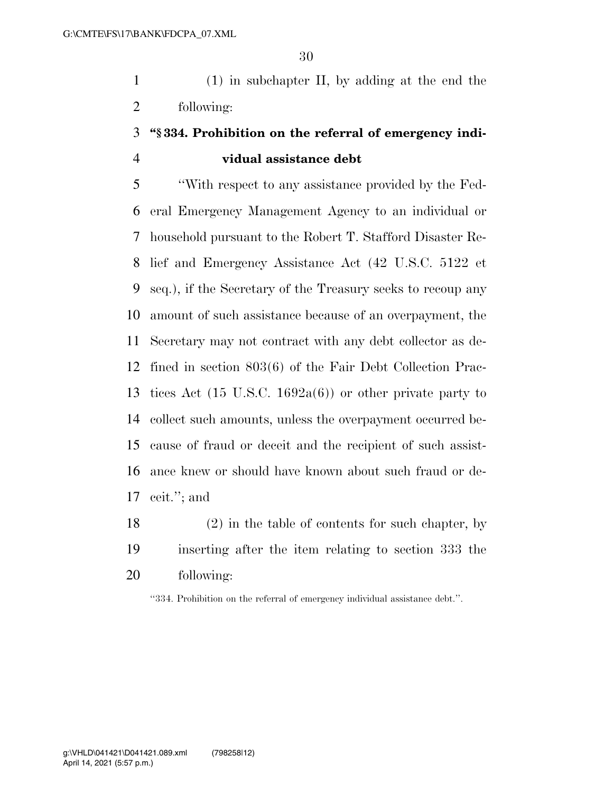(1) in subchapter II, by adding at the end the following:

## **''§ 334. Prohibition on the referral of emergency indi-vidual assistance debt**

 ''With respect to any assistance provided by the Fed- eral Emergency Management Agency to an individual or household pursuant to the Robert T. Stafford Disaster Re- lief and Emergency Assistance Act (42 U.S.C. 5122 et seq.), if the Secretary of the Treasury seeks to recoup any amount of such assistance because of an overpayment, the Secretary may not contract with any debt collector as de- fined in section 803(6) of the Fair Debt Collection Prac- tices Act (15 U.S.C. 1692a(6)) or other private party to collect such amounts, unless the overpayment occurred be- cause of fraud or deceit and the recipient of such assist- ance knew or should have known about such fraud or de-ceit.''; and

 (2) in the table of contents for such chapter, by inserting after the item relating to section 333 the following:

''334. Prohibition on the referral of emergency individual assistance debt.''.